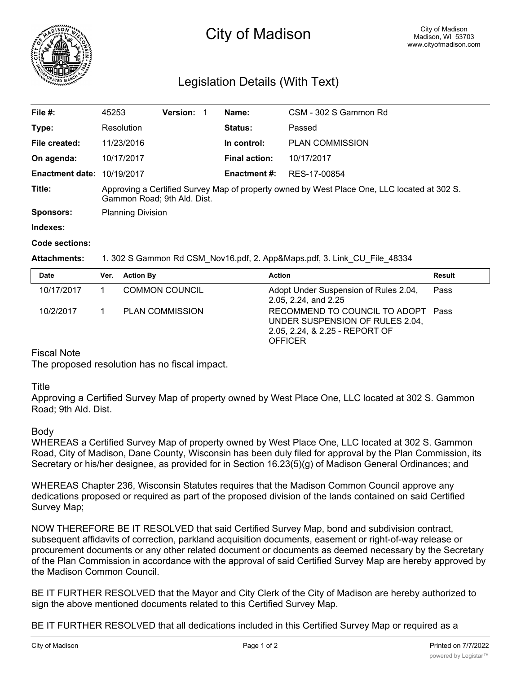

# City of Madison

# Legislation Details (With Text)

| File #:<br><b>Version:</b><br>Name:<br>CSM - 302 S Gammon Rd<br>45253<br><b>Status:</b><br>Type:<br>Resolution<br>Passed<br>File created:<br>In control:<br><b>PLAN COMMISSION</b><br>11/23/2016<br><b>Final action:</b><br>On agenda:<br>10/17/2017<br>10/17/2017<br><b>Enactment date: 10/19/2017</b><br><b>Enactment #:</b><br>RES-17-00854<br>Title:<br>Approving a Certified Survey Map of property owned by West Place One, LLC located at 302 S.<br>Gammon Road; 9th Ald. Dist.<br><b>Planning Division</b><br>Sponsors:<br>Indexes: |  |  |  |  |  |
|---------------------------------------------------------------------------------------------------------------------------------------------------------------------------------------------------------------------------------------------------------------------------------------------------------------------------------------------------------------------------------------------------------------------------------------------------------------------------------------------------------------------------------------------|--|--|--|--|--|
|                                                                                                                                                                                                                                                                                                                                                                                                                                                                                                                                             |  |  |  |  |  |
|                                                                                                                                                                                                                                                                                                                                                                                                                                                                                                                                             |  |  |  |  |  |
|                                                                                                                                                                                                                                                                                                                                                                                                                                                                                                                                             |  |  |  |  |  |
|                                                                                                                                                                                                                                                                                                                                                                                                                                                                                                                                             |  |  |  |  |  |
|                                                                                                                                                                                                                                                                                                                                                                                                                                                                                                                                             |  |  |  |  |  |
|                                                                                                                                                                                                                                                                                                                                                                                                                                                                                                                                             |  |  |  |  |  |
|                                                                                                                                                                                                                                                                                                                                                                                                                                                                                                                                             |  |  |  |  |  |
|                                                                                                                                                                                                                                                                                                                                                                                                                                                                                                                                             |  |  |  |  |  |

#### **Code sections:**

#### **Attachments:** 1. 302 S Gammon Rd CSM\_Nov16.pdf, 2. App&Maps.pdf, 3. Link\_CU\_File\_48334

| <b>Date</b> | Ver. | <b>Action By</b>       | <b>Action</b>                                                                                                             | <b>Result</b> |
|-------------|------|------------------------|---------------------------------------------------------------------------------------------------------------------------|---------------|
| 10/17/2017  |      | <b>COMMON COUNCIL</b>  | Adopt Under Suspension of Rules 2.04,<br>2.05, 2.24, and 2.25                                                             | Pass          |
| 10/2/2017   |      | <b>PLAN COMMISSION</b> | RECOMMEND TO COUNCIL TO ADOPT Pass<br>UNDER SUSPENSION OF RULES 2.04,<br>2.05, 2.24, & 2.25 - REPORT OF<br><b>OFFICER</b> |               |

# Fiscal Note

The proposed resolution has no fiscal impact.

## **Title**

Approving a Certified Survey Map of property owned by West Place One, LLC located at 302 S. Gammon Road; 9th Ald. Dist.

## Body

WHEREAS a Certified Survey Map of property owned by West Place One, LLC located at 302 S. Gammon Road, City of Madison, Dane County, Wisconsin has been duly filed for approval by the Plan Commission, its Secretary or his/her designee, as provided for in Section 16.23(5)(g) of Madison General Ordinances; and

WHEREAS Chapter 236, Wisconsin Statutes requires that the Madison Common Council approve any dedications proposed or required as part of the proposed division of the lands contained on said Certified Survey Map;

NOW THEREFORE BE IT RESOLVED that said Certified Survey Map, bond and subdivision contract, subsequent affidavits of correction, parkland acquisition documents, easement or right-of-way release or procurement documents or any other related document or documents as deemed necessary by the Secretary of the Plan Commission in accordance with the approval of said Certified Survey Map are hereby approved by the Madison Common Council.

BE IT FURTHER RESOLVED that the Mayor and City Clerk of the City of Madison are hereby authorized to sign the above mentioned documents related to this Certified Survey Map.

BE IT FURTHER RESOLVED that all dedications included in this Certified Survey Map or required as a